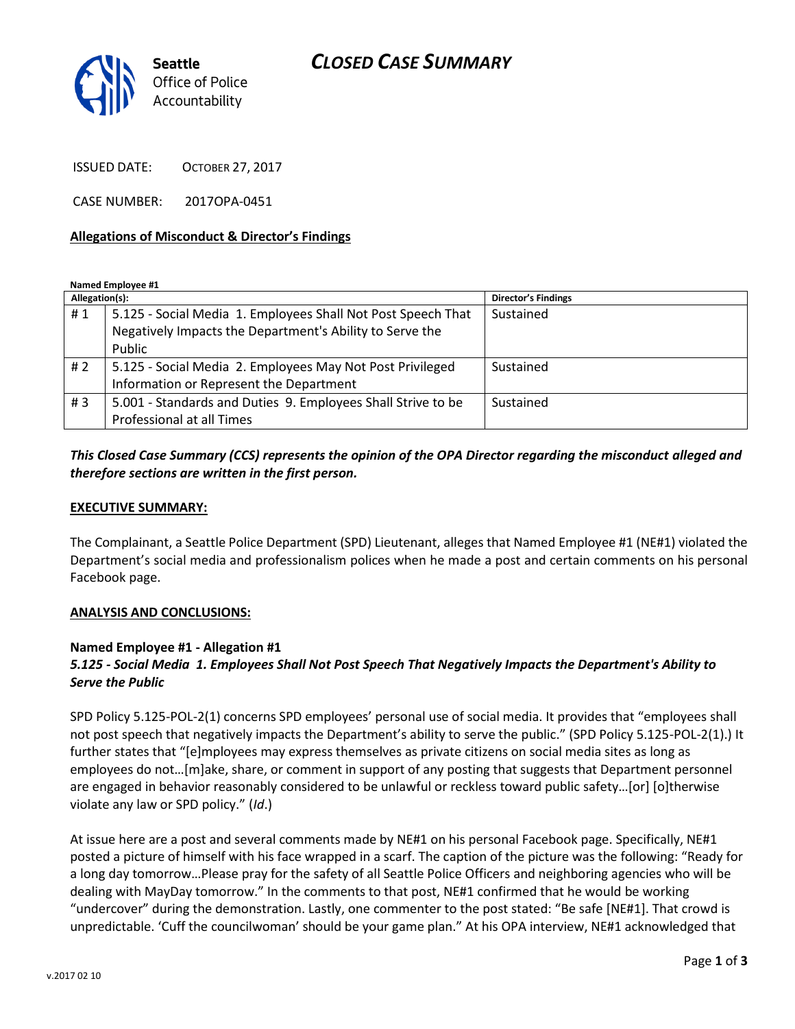# *CLOSED CASE SUMMARY*



ISSUED DATE: OCTOBER 27, 2017

CASE NUMBER: 2017OPA-0451

#### **Allegations of Misconduct & Director's Findings**

**Named Employee #1**

| Allegation(s): |                                                              | <b>Director's Findings</b> |
|----------------|--------------------------------------------------------------|----------------------------|
| #1             | 5.125 - Social Media 1. Employees Shall Not Post Speech That | Sustained                  |
|                | Negatively Impacts the Department's Ability to Serve the     |                            |
|                | Public                                                       |                            |
| # $2$          | 5.125 - Social Media 2. Employees May Not Post Privileged    | Sustained                  |
|                | Information or Represent the Department                      |                            |
| #3             | 5.001 - Standards and Duties 9. Employees Shall Strive to be | Sustained                  |
|                | Professional at all Times                                    |                            |

### *This Closed Case Summary (CCS) represents the opinion of the OPA Director regarding the misconduct alleged and therefore sections are written in the first person.*

#### **EXECUTIVE SUMMARY:**

The Complainant, a Seattle Police Department (SPD) Lieutenant, alleges that Named Employee #1 (NE#1) violated the Department's social media and professionalism polices when he made a post and certain comments on his personal Facebook page.

#### **ANALYSIS AND CONCLUSIONS:**

### **Named Employee #1 - Allegation #1**

## *5.125 - Social Media 1. Employees Shall Not Post Speech That Negatively Impacts the Department's Ability to Serve the Public*

SPD Policy 5.125-POL-2(1) concerns SPD employees' personal use of social media. It provides that "employees shall not post speech that negatively impacts the Department's ability to serve the public." (SPD Policy 5.125-POL-2(1).) It further states that "[e]mployees may express themselves as private citizens on social media sites as long as employees do not…[m]ake, share, or comment in support of any posting that suggests that Department personnel are engaged in behavior reasonably considered to be unlawful or reckless toward public safety…[or] [o]therwise violate any law or SPD policy." (*Id*.)

At issue here are a post and several comments made by NE#1 on his personal Facebook page. Specifically, NE#1 posted a picture of himself with his face wrapped in a scarf. The caption of the picture was the following: "Ready for a long day tomorrow…Please pray for the safety of all Seattle Police Officers and neighboring agencies who will be dealing with MayDay tomorrow." In the comments to that post, NE#1 confirmed that he would be working "undercover" during the demonstration. Lastly, one commenter to the post stated: "Be safe [NE#1]. That crowd is unpredictable. 'Cuff the councilwoman' should be your game plan." At his OPA interview, NE#1 acknowledged that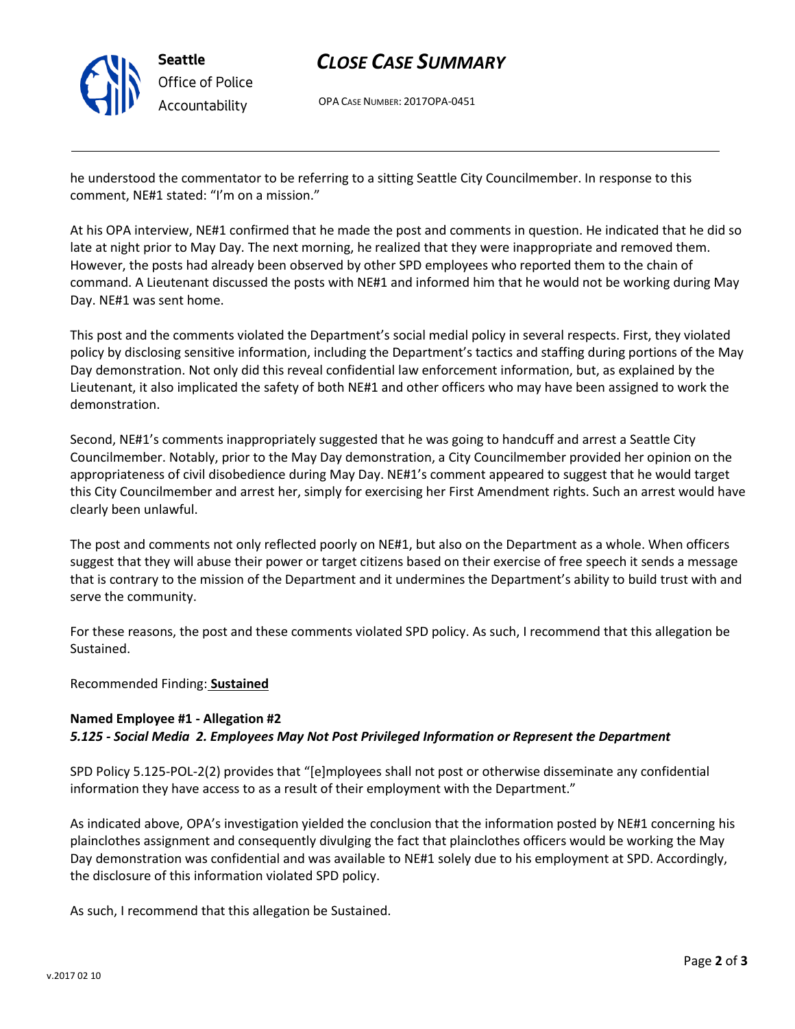

# *CLOSE CASE SUMMARY*

OPA CASE NUMBER: 2017OPA-0451

he understood the commentator to be referring to a sitting Seattle City Councilmember. In response to this comment, NE#1 stated: "I'm on a mission."

At his OPA interview, NE#1 confirmed that he made the post and comments in question. He indicated that he did so late at night prior to May Day. The next morning, he realized that they were inappropriate and removed them. However, the posts had already been observed by other SPD employees who reported them to the chain of command. A Lieutenant discussed the posts with NE#1 and informed him that he would not be working during May Day. NE#1 was sent home.

This post and the comments violated the Department's social medial policy in several respects. First, they violated policy by disclosing sensitive information, including the Department's tactics and staffing during portions of the May Day demonstration. Not only did this reveal confidential law enforcement information, but, as explained by the Lieutenant, it also implicated the safety of both NE#1 and other officers who may have been assigned to work the demonstration.

Second, NE#1's comments inappropriately suggested that he was going to handcuff and arrest a Seattle City Councilmember. Notably, prior to the May Day demonstration, a City Councilmember provided her opinion on the appropriateness of civil disobedience during May Day. NE#1's comment appeared to suggest that he would target this City Councilmember and arrest her, simply for exercising her First Amendment rights. Such an arrest would have clearly been unlawful.

The post and comments not only reflected poorly on NE#1, but also on the Department as a whole. When officers suggest that they will abuse their power or target citizens based on their exercise of free speech it sends a message that is contrary to the mission of the Department and it undermines the Department's ability to build trust with and serve the community.

For these reasons, the post and these comments violated SPD policy. As such, I recommend that this allegation be Sustained.

Recommended Finding: **Sustained**

### **Named Employee #1 - Allegation #2** *5.125 - Social Media 2. Employees May Not Post Privileged Information or Represent the Department*

SPD Policy 5.125-POL-2(2) provides that "[e]mployees shall not post or otherwise disseminate any confidential information they have access to as a result of their employment with the Department."

As indicated above, OPA's investigation yielded the conclusion that the information posted by NE#1 concerning his plainclothes assignment and consequently divulging the fact that plainclothes officers would be working the May Day demonstration was confidential and was available to NE#1 solely due to his employment at SPD. Accordingly, the disclosure of this information violated SPD policy.

As such, I recommend that this allegation be Sustained.